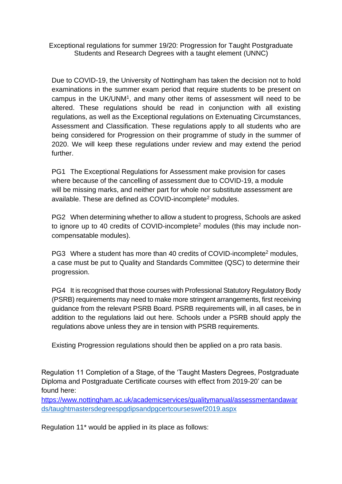Exceptional regulations for summer 19/20: Progression for Taught Postgraduate Students and Research Degrees with a taught element (UNNC)

Due to COVID-19, the University of Nottingham has taken the decision not to hold examinations in the summer exam period that require students to be present on campus in the UK/UNM<sup>1</sup> , and many other items of assessment will need to be altered. These regulations should be read in conjunction with all existing regulations, as well as the Exceptional regulations on Extenuating Circumstances, Assessment and Classification. These regulations apply to all students who are being considered for Progression on their programme of study in the summer of 2020. We will keep these regulations under review and may extend the period further.

PG1 The Exceptional Regulations for Assessment make provision for cases where because of the cancelling of assessment due to COVID-19, a module will be missing marks, and neither part for whole nor substitute assessment are available. These are defined as COVID-incomplete<sup>2</sup> modules.

PG2 When determining whether to allow a student to progress, Schools are asked to ignore up to 40 credits of COVID-incomplete<sup>2</sup> modules (this may include noncompensatable modules).

PG3 Where a student has more than 40 credits of COVID-incomplete<sup>2</sup> modules, a case must be put to Quality and Standards Committee (QSC) to determine their progression.

PG4 It is recognised that those courses with Professional Statutory Regulatory Body (PSRB) requirements may need to make more stringent arrangements, first receiving guidance from the relevant PSRB Board. PSRB requirements will, in all cases, be in addition to the regulations laid out here. Schools under a PSRB should apply the regulations above unless they are in tension with PSRB requirements.

Existing Progression regulations should then be applied on a pro rata basis.

Regulation 11 Completion of a Stage, of the 'Taught Masters Degrees, Postgraduate Diploma and Postgraduate Certificate courses with effect from 2019-20' can be found here:

<https://www.nottingham.ac.uk/academicservices/qualitymanual/assessmentandawar> ds/taughtmastersdegreespgdipsandpgcertcourseswef2019.aspx

Regulation 11\* would be applied in its place as follows: